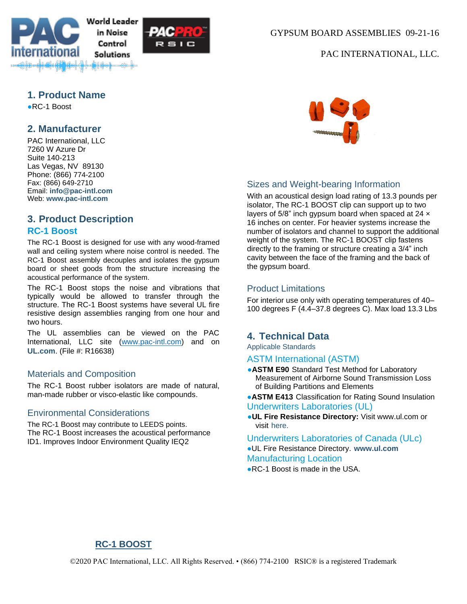



#### GYPSUM BOARD ASSEMBLIES 09-21-16

#### PAC INTERNATIONAL, LLC.

#### **1. Product Name**

●RC-1 Boost

## **2. Manufacturer**

PAC International, LLC 7260 W Azure Dr Suite 140-213 Las Vegas, NV 89130 Phone: (866) 774-2100 Fax: (866) 649-2710 Email: **[info@pac-intl.com](mailto:info%40pac-intl.com?subject=SpecData%20inquiry)** Web: **[www.pac-intl.com](http://www.pac-intl.com/)**

## **3. Product Description**

#### **RC-1 Boost**

The RC-1 Boost is designed for use with any wood-framed wall and ceiling system where noise control is needed. The RC-1 Boost assembly decouples and isolates the gypsum board or sheet goods from the structure increasing the acoustical performance of the system.

The RC-1 Boost stops the noise and vibrations that typically would be allowed to transfer through the structure. The RC-1 Boost systems have several UL fire resistive design assemblies ranging from one hour and two hours.

The UL assemblies can be viewed on the PAC International, LLC site [\(www.pac-intl.com\)](http://www.pac-intl.com/) and on **[UL.com](http://ul.com/)**. (File #: R16638)

#### Materials and Composition

The RC-1 Boost rubber isolators are made of natural, man-made rubber or visco-elastic like compounds.

#### Environmental Considerations

The RC-1 Boost may contribute to LEEDS points. The RC-1 Boost increases the acoustical performance ID1. Improves Indoor Environment Quality IEQ2



#### Sizes and Weight-bearing Information

With an acoustical design load rating of 13.3 pounds per isolator, The RC-1 BOOST clip can support up to two layers of 5/8" inch gypsum board when spaced at 24  $\times$ 16 inches on center. For heavier systems increase the number of isolators and channel to support the additional weight of the system. The RC-1 BOOST clip fastens directly to the framing or structure creating a 3/4" inch cavity between the face of the framing and the back of the gypsum board.

#### Product Limitations

For interior use only with operating temperatures of 40– 100 degrees F (4.4–37.8 degrees C). Max load 13.3 Lbs

#### **4. Technical Data**

Applicable Standards

ASTM International (ASTM)

- **ASTM E90** Standard Test Method for Laboratory Measurement of Airborne Sound Transmission Loss of Building Partitions and Elements
- **.ASTM E413** Classification for Rating Sound Insulation Underwriters Laboratories (UL)
- ●**UL Fire Resistance Directory:** Visit www.ul.com or visit [here.](http://www.pac-intl.com/fire_ratings_list.html)

Underwriters Laboratories of Canada (ULc)

●UL Fire Resistance Directory. **[www.ul.com](http://database.ul.com/cgi-bin/XYV/template/LISEXT/1FRAME/showpage.html?name=CIKV7.R16638&ccnshorttitle=Framing+Members+Certified+for+Canada&objid=1075501803&cfgid=1073741824&version=versionless&parent_id=1073985059&sequence=1)** Manufacturing Location

●RC-1 Boost is made in the USA.

# **RC-1 BOOST**